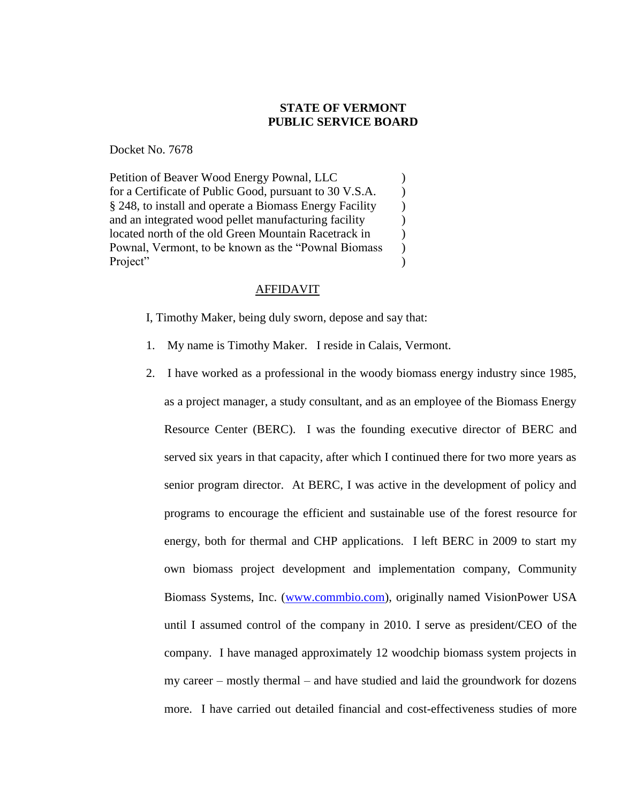## **STATE OF VERMONT PUBLIC SERVICE BOARD**

Docket No. 7678

Petition of Beaver Wood Energy Pownal, LLC  $\qquad \qquad$  ) for a Certificate of Public Good, pursuant to 30 V.S.A.  $\qquad$ ) § 248, to install and operate a Biomass Energy Facility ) and an integrated wood pellet manufacturing facility (a) located north of the old Green Mountain Racetrack in  $\qquad \qquad$  ) Pownal, Vermont, to be known as the "Pownal Biomass ) Project" and  $\binom{1}{1}$ 

## AFFIDAVIT

I, Timothy Maker, being duly sworn, depose and say that:

- 1. My name is Timothy Maker. I reside in Calais, Vermont.
- 2. I have worked as a professional in the woody biomass energy industry since 1985, as a project manager, a study consultant, and as an employee of the Biomass Energy Resource Center (BERC). I was the founding executive director of BERC and served six years in that capacity, after which I continued there for two more years as senior program director. At BERC, I was active in the development of policy and programs to encourage the efficient and sustainable use of the forest resource for energy, both for thermal and CHP applications. I left BERC in 2009 to start my own biomass project development and implementation company, Community Biomass Systems, Inc. [\(www.commbio.com\)](http://www.commbio.com/), originally named VisionPower USA until I assumed control of the company in 2010. I serve as president/CEO of the company. I have managed approximately 12 woodchip biomass system projects in my career – mostly thermal – and have studied and laid the groundwork for dozens more. I have carried out detailed financial and cost-effectiveness studies of more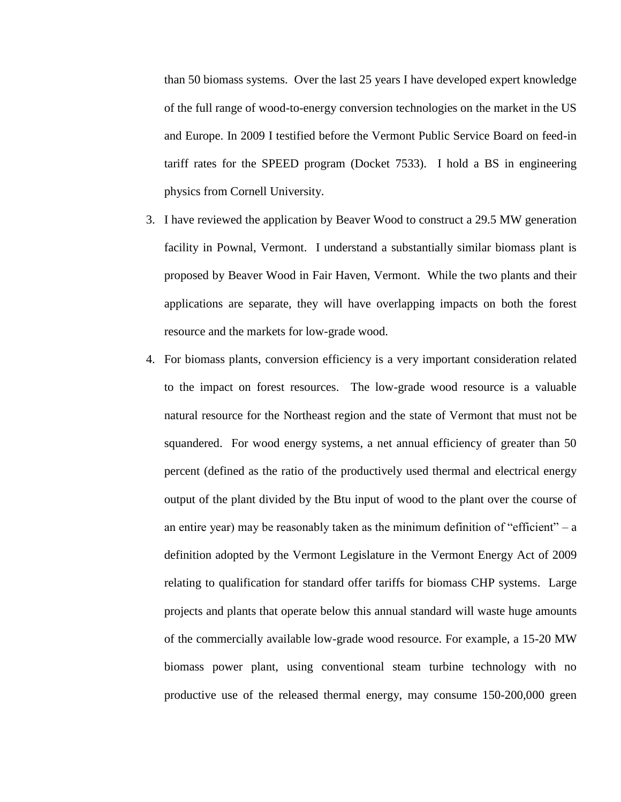than 50 biomass systems. Over the last 25 years I have developed expert knowledge of the full range of wood-to-energy conversion technologies on the market in the US and Europe. In 2009 I testified before the Vermont Public Service Board on feed-in tariff rates for the SPEED program (Docket 7533). I hold a BS in engineering physics from Cornell University.

- 3. I have reviewed the application by Beaver Wood to construct a 29.5 MW generation facility in Pownal, Vermont. I understand a substantially similar biomass plant is proposed by Beaver Wood in Fair Haven, Vermont. While the two plants and their applications are separate, they will have overlapping impacts on both the forest resource and the markets for low-grade wood.
- 4. For biomass plants, conversion efficiency is a very important consideration related to the impact on forest resources. The low-grade wood resource is a valuable natural resource for the Northeast region and the state of Vermont that must not be squandered. For wood energy systems, a net annual efficiency of greater than 50 percent (defined as the ratio of the productively used thermal and electrical energy output of the plant divided by the Btu input of wood to the plant over the course of an entire year) may be reasonably taken as the minimum definition of "efficient" – a definition adopted by the Vermont Legislature in the Vermont Energy Act of 2009 relating to qualification for standard offer tariffs for biomass CHP systems. Large projects and plants that operate below this annual standard will waste huge amounts of the commercially available low-grade wood resource. For example, a 15-20 MW biomass power plant, using conventional steam turbine technology with no productive use of the released thermal energy, may consume 150-200,000 green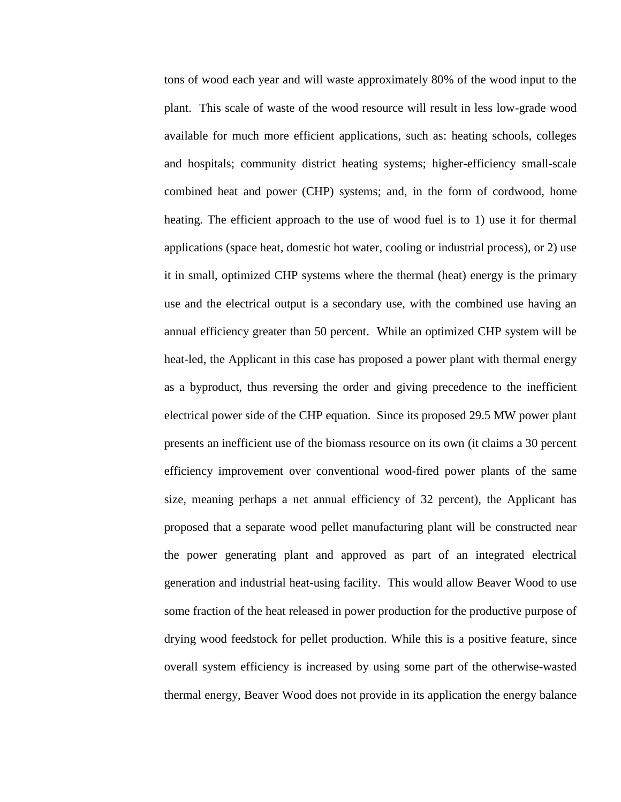tons of wood each year and will waste approximately 80% of the wood input to the plant. This scale of waste of the wood resource will result in less low-grade wood available for much more efficient applications, such as: heating schools, colleges and hospitals; community district heating systems; higher-efficiency small-scale combined heat and power (CHP) systems; and, in the form of cordwood, home heating. The efficient approach to the use of wood fuel is to 1) use it for thermal applications (space heat, domestic hot water, cooling or industrial process), or 2) use it in small, optimized CHP systems where the thermal (heat) energy is the primary use and the electrical output is a secondary use, with the combined use having an annual efficiency greater than 50 percent. While an optimized CHP system will be heat-led, the Applicant in this case has proposed a power plant with thermal energy as a byproduct, thus reversing the order and giving precedence to the inefficient electrical power side of the CHP equation. Since its proposed 29.5 MW power plant presents an inefficient use of the biomass resource on its own (it claims a 30 percent efficiency improvement over conventional wood-fired power plants of the same size, meaning perhaps a net annual efficiency of 32 percent), the Applicant has proposed that a separate wood pellet manufacturing plant will be constructed near the power generating plant and approved as part of an integrated electrical generation and industrial heat-using facility. This would allow Beaver Wood to use some fraction of the heat released in power production for the productive purpose of drying wood feedstock for pellet production. While this is a positive feature, since overall system efficiency is increased by using some part of the otherwise-wasted thermal energy, Beaver Wood does not provide in its application the energy balance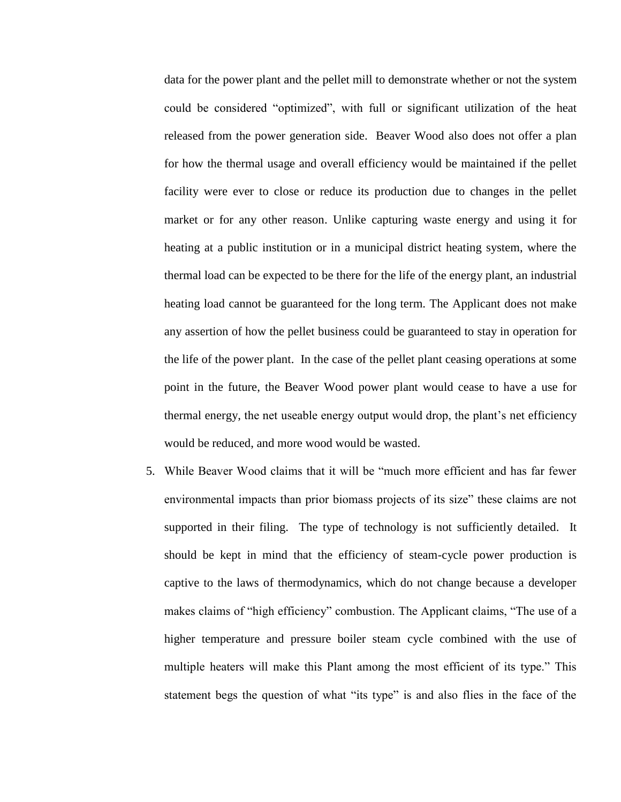data for the power plant and the pellet mill to demonstrate whether or not the system could be considered "optimized", with full or significant utilization of the heat released from the power generation side. Beaver Wood also does not offer a plan for how the thermal usage and overall efficiency would be maintained if the pellet facility were ever to close or reduce its production due to changes in the pellet market or for any other reason. Unlike capturing waste energy and using it for heating at a public institution or in a municipal district heating system, where the thermal load can be expected to be there for the life of the energy plant, an industrial heating load cannot be guaranteed for the long term. The Applicant does not make any assertion of how the pellet business could be guaranteed to stay in operation for the life of the power plant. In the case of the pellet plant ceasing operations at some point in the future, the Beaver Wood power plant would cease to have a use for thermal energy, the net useable energy output would drop, the plant's net efficiency would be reduced, and more wood would be wasted.

5. While Beaver Wood claims that it will be "much more efficient and has far fewer environmental impacts than prior biomass projects of its size" these claims are not supported in their filing. The type of technology is not sufficiently detailed. It should be kept in mind that the efficiency of steam-cycle power production is captive to the laws of thermodynamics, which do not change because a developer makes claims of "high efficiency" combustion. The Applicant claims, "The use of a higher temperature and pressure boiler steam cycle combined with the use of multiple heaters will make this Plant among the most efficient of its type." This statement begs the question of what "its type" is and also flies in the face of the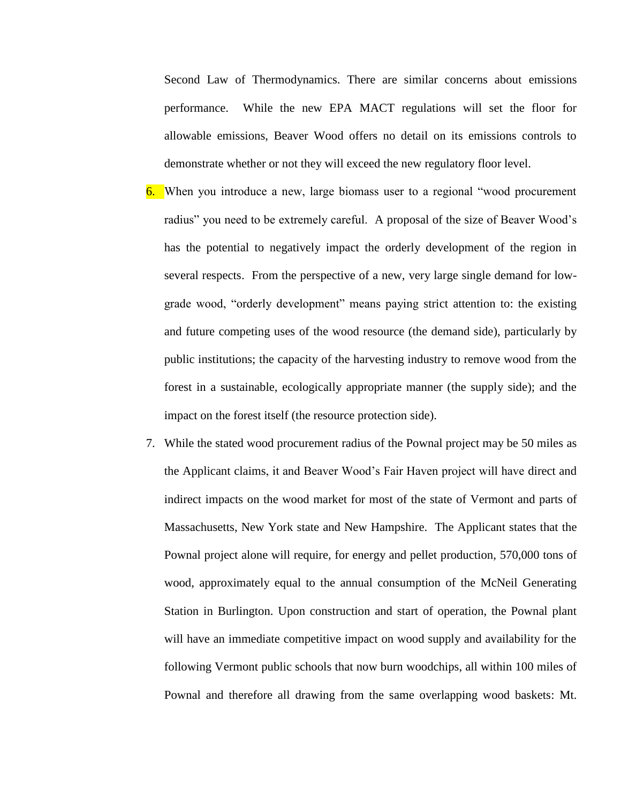Second Law of Thermodynamics. There are similar concerns about emissions performance. While the new EPA MACT regulations will set the floor for allowable emissions, Beaver Wood offers no detail on its emissions controls to demonstrate whether or not they will exceed the new regulatory floor level.

- 6. When you introduce a new, large biomass user to a regional "wood procurement radius" you need to be extremely careful. A proposal of the size of Beaver Wood's has the potential to negatively impact the orderly development of the region in several respects. From the perspective of a new, very large single demand for lowgrade wood, "orderly development" means paying strict attention to: the existing and future competing uses of the wood resource (the demand side), particularly by public institutions; the capacity of the harvesting industry to remove wood from the forest in a sustainable, ecologically appropriate manner (the supply side); and the impact on the forest itself (the resource protection side).
- 7. While the stated wood procurement radius of the Pownal project may be 50 miles as the Applicant claims, it and Beaver Wood's Fair Haven project will have direct and indirect impacts on the wood market for most of the state of Vermont and parts of Massachusetts, New York state and New Hampshire. The Applicant states that the Pownal project alone will require, for energy and pellet production, 570,000 tons of wood, approximately equal to the annual consumption of the McNeil Generating Station in Burlington. Upon construction and start of operation, the Pownal plant will have an immediate competitive impact on wood supply and availability for the following Vermont public schools that now burn woodchips, all within 100 miles of Pownal and therefore all drawing from the same overlapping wood baskets: Mt.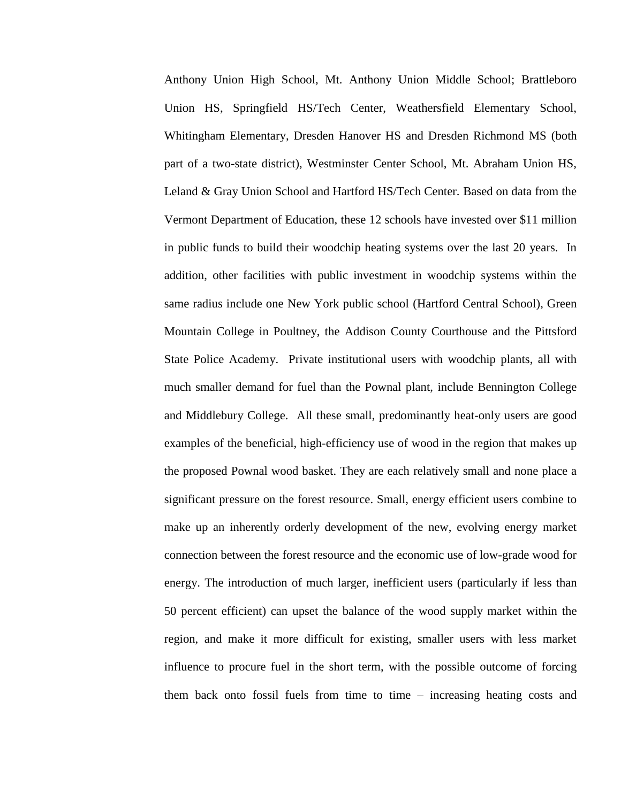Anthony Union High School, Mt. Anthony Union Middle School; Brattleboro Union HS, Springfield HS/Tech Center, Weathersfield Elementary School, Whitingham Elementary, Dresden Hanover HS and Dresden Richmond MS (both part of a two-state district), Westminster Center School, Mt. Abraham Union HS, Leland & Gray Union School and Hartford HS/Tech Center. Based on data from the Vermont Department of Education, these 12 schools have invested over \$11 million in public funds to build their woodchip heating systems over the last 20 years. In addition, other facilities with public investment in woodchip systems within the same radius include one New York public school (Hartford Central School), Green Mountain College in Poultney, the Addison County Courthouse and the Pittsford State Police Academy. Private institutional users with woodchip plants, all with much smaller demand for fuel than the Pownal plant, include Bennington College and Middlebury College. All these small, predominantly heat-only users are good examples of the beneficial, high-efficiency use of wood in the region that makes up the proposed Pownal wood basket. They are each relatively small and none place a significant pressure on the forest resource. Small, energy efficient users combine to make up an inherently orderly development of the new, evolving energy market connection between the forest resource and the economic use of low-grade wood for energy. The introduction of much larger, inefficient users (particularly if less than 50 percent efficient) can upset the balance of the wood supply market within the region, and make it more difficult for existing, smaller users with less market influence to procure fuel in the short term, with the possible outcome of forcing them back onto fossil fuels from time to time – increasing heating costs and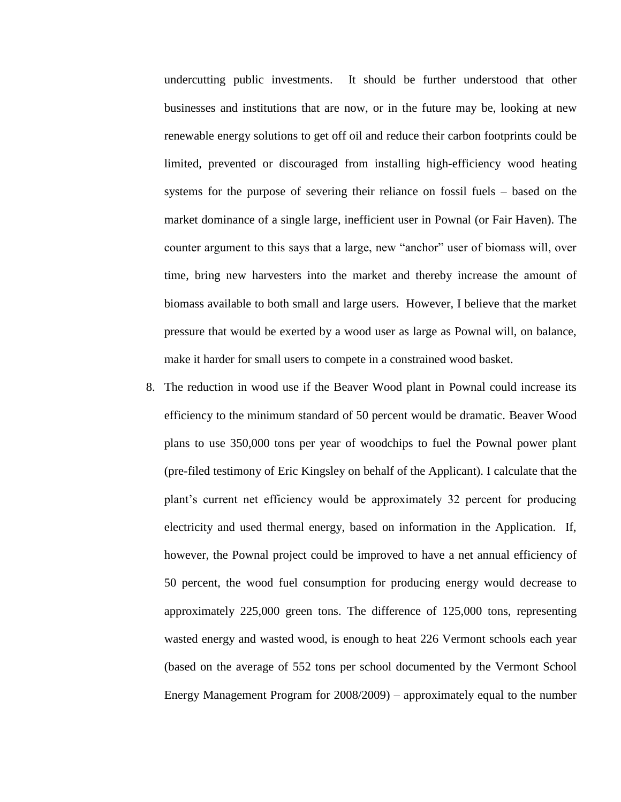undercutting public investments. It should be further understood that other businesses and institutions that are now, or in the future may be, looking at new renewable energy solutions to get off oil and reduce their carbon footprints could be limited, prevented or discouraged from installing high-efficiency wood heating systems for the purpose of severing their reliance on fossil fuels – based on the market dominance of a single large, inefficient user in Pownal (or Fair Haven). The counter argument to this says that a large, new "anchor" user of biomass will, over time, bring new harvesters into the market and thereby increase the amount of biomass available to both small and large users. However, I believe that the market pressure that would be exerted by a wood user as large as Pownal will, on balance, make it harder for small users to compete in a constrained wood basket.

8. The reduction in wood use if the Beaver Wood plant in Pownal could increase its efficiency to the minimum standard of 50 percent would be dramatic. Beaver Wood plans to use 350,000 tons per year of woodchips to fuel the Pownal power plant (pre-filed testimony of Eric Kingsley on behalf of the Applicant). I calculate that the plant's current net efficiency would be approximately 32 percent for producing electricity and used thermal energy, based on information in the Application. If, however, the Pownal project could be improved to have a net annual efficiency of 50 percent, the wood fuel consumption for producing energy would decrease to approximately 225,000 green tons. The difference of 125,000 tons, representing wasted energy and wasted wood, is enough to heat 226 Vermont schools each year (based on the average of 552 tons per school documented by the Vermont School Energy Management Program for 2008/2009) – approximately equal to the number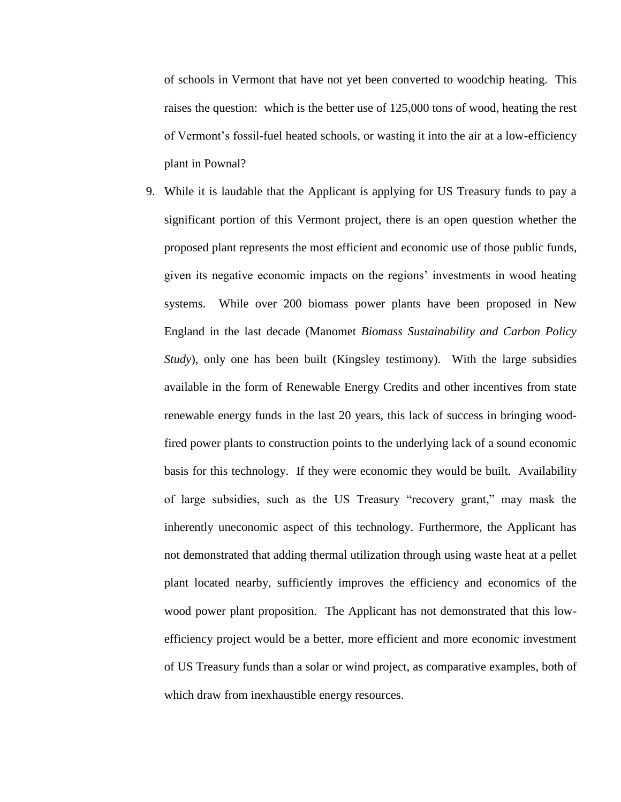of schools in Vermont that have not yet been converted to woodchip heating. This raises the question: which is the better use of 125,000 tons of wood, heating the rest of Vermont's fossil-fuel heated schools, or wasting it into the air at a low-efficiency plant in Pownal?

9. While it is laudable that the Applicant is applying for US Treasury funds to pay a significant portion of this Vermont project, there is an open question whether the proposed plant represents the most efficient and economic use of those public funds, given its negative economic impacts on the regions' investments in wood heating systems. While over 200 biomass power plants have been proposed in New England in the last decade (Manomet *Biomass Sustainability and Carbon Policy Study*), only one has been built (Kingsley testimony). With the large subsidies available in the form of Renewable Energy Credits and other incentives from state renewable energy funds in the last 20 years, this lack of success in bringing woodfired power plants to construction points to the underlying lack of a sound economic basis for this technology. If they were economic they would be built. Availability of large subsidies, such as the US Treasury "recovery grant," may mask the inherently uneconomic aspect of this technology. Furthermore, the Applicant has not demonstrated that adding thermal utilization through using waste heat at a pellet plant located nearby, sufficiently improves the efficiency and economics of the wood power plant proposition. The Applicant has not demonstrated that this lowefficiency project would be a better, more efficient and more economic investment of US Treasury funds than a solar or wind project, as comparative examples, both of which draw from inexhaustible energy resources.